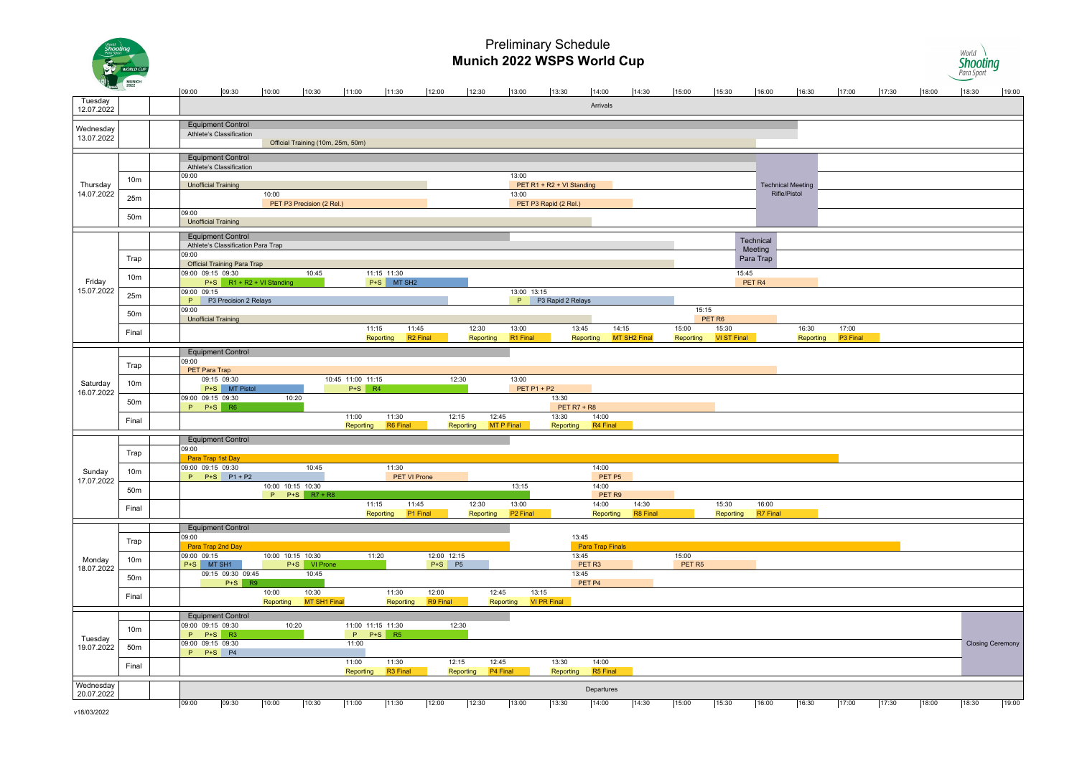

#### Preliminary Schedule **Munich 2022 WSPS World Cup**



| $\overline{1}$          |                 | 09:00<br>09:30                                                 | 10:00             | 10:30                             | 11:00                         | 11:30                                      | 12:00                     | 12:30                     | 13:00                | 13:30                       | 14:00                      | 14:30                 | 15:00                      | 15:30                       | 16:00                | 16:30                                    | 17:00             | 17:30 | 18:00 | 18:30                   | 19:00 |
|-------------------------|-----------------|----------------------------------------------------------------|-------------------|-----------------------------------|-------------------------------|--------------------------------------------|---------------------------|---------------------------|----------------------|-----------------------------|----------------------------|-----------------------|----------------------------|-----------------------------|----------------------|------------------------------------------|-------------------|-------|-------|-------------------------|-------|
| Tuesday<br>12.07.2022   |                 |                                                                |                   |                                   |                               |                                            |                           |                           |                      |                             | Arrivals                   |                       |                            |                             |                      |                                          |                   |       |       |                         |       |
|                         |                 | <b>Equipment Control</b>                                       |                   |                                   |                               |                                            |                           |                           |                      |                             |                            |                       |                            |                             |                      |                                          |                   |       |       |                         |       |
| Wednesday<br>13.07.2022 |                 | Athlete's Classification                                       |                   |                                   |                               |                                            |                           |                           |                      |                             |                            |                       |                            |                             |                      |                                          |                   |       |       |                         |       |
|                         |                 |                                                                |                   | Official Training (10m, 25m, 50m) |                               |                                            |                           |                           |                      |                             |                            |                       |                            |                             |                      |                                          |                   |       |       |                         |       |
| Thursday<br>14.07.2022  |                 | <b>Equipment Control</b><br>Athlete's Classification           |                   |                                   |                               |                                            |                           |                           |                      |                             |                            |                       |                            |                             |                      |                                          |                   |       |       |                         |       |
|                         |                 | 09:00                                                          |                   |                                   |                               |                                            |                           |                           | 13:00                |                             |                            |                       |                            |                             |                      |                                          |                   |       |       |                         |       |
|                         | 10 <sub>m</sub> | <b>Unofficial Training</b>                                     |                   |                                   |                               |                                            |                           |                           |                      | PET R1 + R2 + VI Standing   |                            |                       |                            |                             |                      | <b>Technical Meeting</b><br>Rifle/Pistol |                   |       |       |                         |       |
|                         | 25m             |                                                                | 10:00             | PET P3 Precision (2 Rel.)         |                               |                                            |                           |                           | 13:00                | PET P3 Rapid (2 Rel.)       |                            |                       |                            |                             |                      |                                          |                   |       |       |                         |       |
|                         | 50m             | 09:00                                                          |                   |                                   |                               |                                            |                           |                           |                      |                             |                            |                       |                            |                             |                      |                                          |                   |       |       |                         |       |
|                         |                 | <b>Unofficial Training</b>                                     |                   |                                   |                               |                                            |                           |                           |                      |                             |                            |                       |                            |                             |                      |                                          |                   |       |       |                         |       |
|                         |                 | <b>Equipment Control</b><br>Athlete's Classification Para Trap |                   |                                   |                               |                                            |                           |                           |                      |                             |                            |                       |                            |                             | Technical            |                                          |                   |       |       |                         |       |
|                         | Trap            | 09:00                                                          |                   |                                   |                               |                                            |                           |                           |                      |                             |                            |                       |                            |                             | Meeting<br>Para Trap |                                          |                   |       |       |                         |       |
|                         |                 | <b>Official Training Para Trap</b>                             |                   |                                   |                               |                                            |                           |                           |                      |                             |                            |                       |                            |                             |                      |                                          |                   |       |       |                         |       |
| Friday                  | 10 <sub>m</sub> | 09:00 09:15 09:30<br>P+S R1 + R2 + VI Standing                 |                   | 10:45                             |                               | 11:15 11:30<br>$P+S$<br>MT SH <sub>2</sub> |                           |                           |                      |                             |                            |                       |                            | 15:45                       | PET <sub>R4</sub>    |                                          |                   |       |       |                         |       |
| 15.07.2022              | 25m             | 09:00 09:15                                                    |                   |                                   |                               |                                            |                           |                           | 13:00 13:15          |                             |                            |                       |                            |                             |                      |                                          |                   |       |       |                         |       |
|                         |                 | P P3 Precision 2 Relays<br>09:00                               |                   |                                   |                               |                                            |                           |                           |                      | P P3 Rapid 2 Relays         |                            |                       | 15:15                      |                             |                      |                                          |                   |       |       |                         |       |
|                         | 50m             | <b>Unofficial Training</b>                                     |                   |                                   |                               |                                            |                           |                           |                      |                             |                            |                       |                            | PET R6                      |                      |                                          |                   |       |       |                         |       |
|                         | Final           |                                                                |                   |                                   | 11:15                         | 11:45<br>Reporting                         | R <sub>2</sub> Final      | 12:30<br><b>Reporting</b> | 13:00<br>R1 Final    |                             | 13:45<br>Reporting         | 14:15<br>MT SH2 Final | 15:00<br>Reporting         | 15:30<br><b>VI ST Final</b> |                      | 16:30<br>Reporting                       | 17:00<br>P3 Final |       |       |                         |       |
|                         |                 | <b>Equipment Control</b>                                       |                   |                                   |                               |                                            |                           |                           |                      |                             |                            |                       |                            |                             |                      |                                          |                   |       |       |                         |       |
|                         |                 | 09:00                                                          |                   |                                   |                               |                                            |                           |                           |                      |                             |                            |                       |                            |                             |                      |                                          |                   |       |       |                         |       |
|                         | Trap            | PET Para Trap                                                  |                   |                                   |                               |                                            |                           |                           |                      |                             |                            |                       |                            |                             |                      |                                          |                   |       |       |                         |       |
| Saturday                | 10 <sub>m</sub> | 09:15 09:30<br>P+S MT Pistol                                   |                   |                                   | 10:45 11:00 11:15<br>$P+S$ R4 |                                            |                           | 12:30                     | 13:00                | PET P1 + P2                 |                            |                       |                            |                             |                      |                                          |                   |       |       |                         |       |
| 16.07.2022              | 50m             | 09:00 09:15 09:30                                              | 10:20             |                                   |                               |                                            |                           |                           |                      | 13:30                       |                            |                       |                            |                             |                      |                                          |                   |       |       |                         |       |
|                         |                 | P P+S R6                                                       |                   |                                   | 11:00                         | 11:30                                      |                           | 12:15                     | 12:45                | <b>PET R7 + R8</b><br>13:30 | 14:00                      |                       |                            |                             |                      |                                          |                   |       |       |                         |       |
|                         | Final           |                                                                |                   |                                   | Reporting                     | R6 Final                                   |                           | Reporting                 | MT P Final           | Reporting                   | R4 Final                   |                       |                            |                             |                      |                                          |                   |       |       |                         |       |
|                         |                 | <b>Equipment Control</b>                                       |                   |                                   |                               |                                            |                           |                           |                      |                             |                            |                       |                            |                             |                      |                                          |                   |       |       |                         |       |
|                         | Trap            | 09:00<br>Para Trap 1st Day                                     |                   |                                   |                               |                                            |                           |                           |                      |                             |                            |                       |                            |                             |                      |                                          |                   |       |       |                         |       |
| Sunday                  | 10m             | 09:00 09:15 09:30                                              |                   | 10:45                             |                               | 11:30                                      |                           |                           |                      |                             | 14:00                      |                       |                            |                             |                      |                                          |                   |       |       |                         |       |
| 17.07.2022              |                 | $P$ $P+S$ $P1+P2$                                              | 10:00 10:15 10:30 |                                   |                               | PET VI Prone                               |                           |                           | 13:15                |                             | PET P5<br>14:00            |                       |                            |                             |                      |                                          |                   |       |       |                         |       |
|                         | 50m             |                                                                |                   | P P+S R7 + R8                     |                               |                                            |                           |                           |                      |                             | PET <sub>R9</sub>          |                       |                            |                             |                      |                                          |                   |       |       |                         |       |
|                         | Final           |                                                                |                   |                                   |                               | 11:15<br>11:45                             |                           | 12:30                     | 13:00                |                             | 14:00                      | 14:30                 |                            | 15:30                       | 16:00                |                                          |                   |       |       |                         |       |
|                         |                 |                                                                |                   |                                   |                               | Reporting                                  | P1 Final                  | Reporting                 | P <sub>2</sub> Final |                             | Reporting                  | R8 Final              |                            | Reporting                   | R7 Final             |                                          |                   |       |       |                         |       |
|                         |                 | <b>Equipment Control</b><br>09:00                              |                   |                                   |                               |                                            |                           |                           |                      |                             | 13:45                      |                       |                            |                             |                      |                                          |                   |       |       |                         |       |
|                         | Trap            | Para Trap 2nd Day                                              |                   |                                   |                               |                                            |                           |                           |                      |                             | <b>Para Trap Finals</b>    |                       |                            |                             |                      |                                          |                   |       |       |                         |       |
| Monday                  | 10 <sub>m</sub> | 09:00 09:15<br>P+S MT SH1                                      | 10:00 10:15 10:30 | P+S VI Prone                      |                               | 11:20                                      | 12:00 12:15<br>$P+S$ $P5$ |                           |                      |                             | 13:45<br>PET <sub>R3</sub> |                       | 15:00<br>PET <sub>R5</sub> |                             |                      |                                          |                   |       |       |                         |       |
| 18.07.2022              | 50 <sub>m</sub> | 09:15 09:30 09:45                                              |                   | 10:45                             |                               |                                            |                           |                           |                      |                             | 13:45                      |                       |                            |                             |                      |                                          |                   |       |       |                         |       |
|                         |                 | $P+S$ R9                                                       | 10:00             | 10:30                             |                               | 11:30                                      | 12:00                     |                           | 12:45                | 13:15                       | PET P4                     |                       |                            |                             |                      |                                          |                   |       |       |                         |       |
|                         | Final           |                                                                | Reporting         | MT SH1 Final                      |                               | Reporting                                  | R9 Final                  |                           | Reporting            | <b>VI PR Final</b>          |                            |                       |                            |                             |                      |                                          |                   |       |       |                         |       |
|                         |                 | <b>Equipment Control</b>                                       |                   |                                   |                               |                                            |                           |                           |                      |                             |                            |                       |                            |                             |                      |                                          |                   |       |       |                         |       |
|                         | 10m             | 09:00 09:15 09:30                                              | 10:20             |                                   | 11:00 11:15 11:30             |                                            |                           | 12:30                     |                      |                             |                            |                       |                            |                             |                      |                                          |                   |       |       |                         |       |
| Tuesday                 |                 | P P+S R3<br>09:00 09:15 09:30                                  |                   |                                   | P<br>11:00                    | $P+S$ R5                                   |                           |                           |                      |                             |                            |                       |                            |                             |                      |                                          |                   |       |       | <b>Closing Ceremony</b> |       |
| 19.07.2022              | 50m             | P P+S P4                                                       |                   |                                   |                               |                                            |                           |                           |                      |                             |                            |                       |                            |                             |                      |                                          |                   |       |       |                         |       |
|                         | Final           |                                                                |                   |                                   | 11:00<br>Reporting            | 11:30<br>R <sub>3</sub> Final              |                           | 12:15<br>Reporting        | 12:45<br>P4 Final    | 13:30<br>Reporting          | 14:00<br>R5 Final          |                       |                            |                             |                      |                                          |                   |       |       |                         |       |
| Wednesday               |                 |                                                                |                   |                                   |                               |                                            |                           |                           |                      |                             |                            |                       |                            |                             |                      |                                          |                   |       |       |                         |       |
| 20.07.2022              |                 |                                                                |                   |                                   |                               |                                            |                           |                           |                      |                             | Departures                 |                       |                            |                             |                      |                                          |                   |       |       |                         |       |
| v18/03/2022             |                 | 09:30<br>09:00                                                 | 10:00             | 10:30                             | 11:00                         | 11:30                                      | 12:00                     | 12:30                     | 13:00                | 13:30                       | 14:00                      | 14:30                 | 15:00                      | 15:30                       | 16:00                | 16:30                                    | 17:00             | 17:30 | 18:00 | 18:30                   | 19:00 |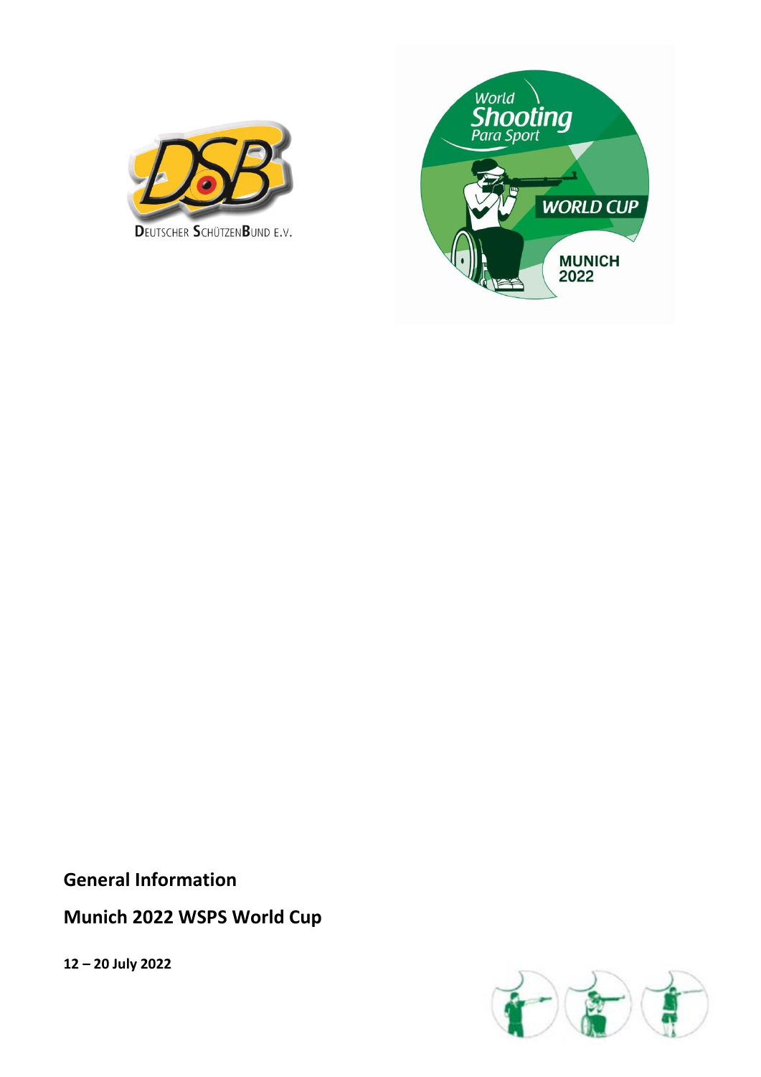



**General Information**

**Munich 2022 WSPS World Cup**

**12 – 20 July 2022**

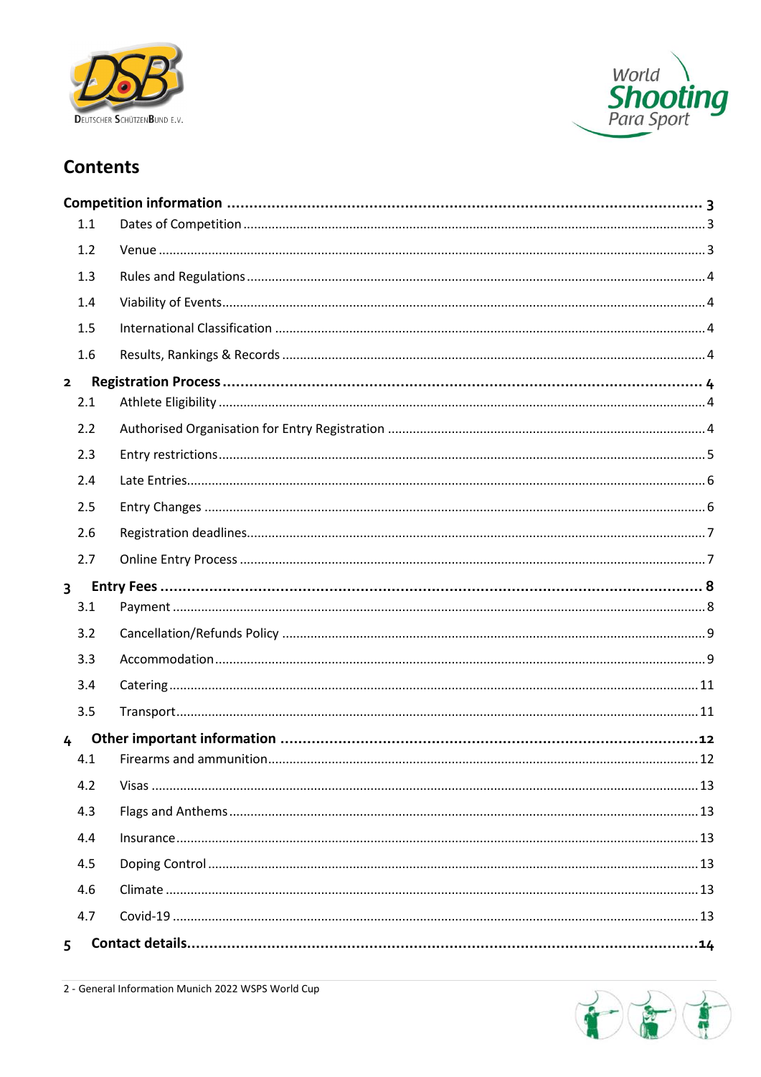



## **Contents**

|                | 1.1 |  |
|----------------|-----|--|
|                | 1.2 |  |
|                | 1.3 |  |
|                | 1.4 |  |
|                | 1.5 |  |
|                | 1.6 |  |
| $\mathbf{z}$   |     |  |
|                | 2.1 |  |
|                | 2.2 |  |
|                | 2.3 |  |
|                | 2.4 |  |
|                | 2.5 |  |
|                | 2.6 |  |
|                | 2.7 |  |
|                |     |  |
| $\overline{3}$ |     |  |
|                | 3.1 |  |
|                | 3.2 |  |
|                | 3.3 |  |
|                | 3.4 |  |
|                | 3.5 |  |
| 4              |     |  |
|                | 4.1 |  |
|                | 4.2 |  |
|                | 4.3 |  |
|                | 4.4 |  |
|                | 4.5 |  |
|                | 4.6 |  |
|                | 4.7 |  |

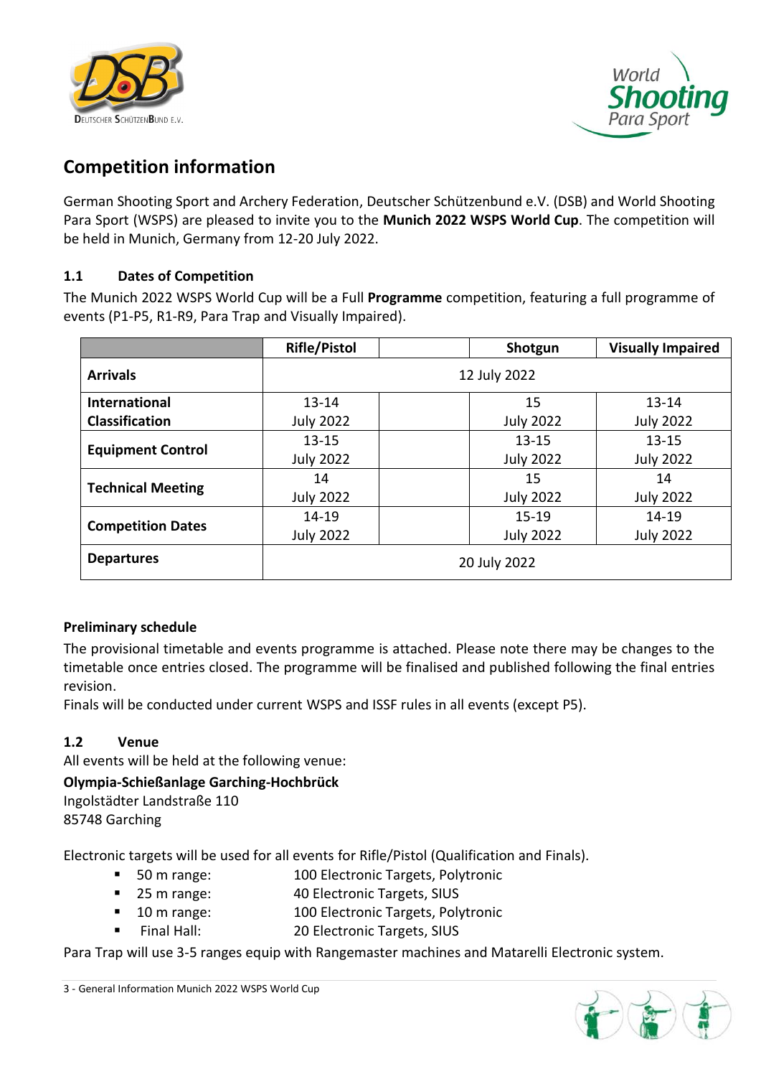



# <span id="page-3-0"></span>**Competition information**

German Shooting Sport and Archery Federation, Deutscher Schützenbund e.V. (DSB) and World Shooting Para Sport (WSPS) are pleased to invite you to the **Munich 2022 WSPS World Cup**. The competition will be held in Munich, Germany from 12-20 July 2022.

## <span id="page-3-1"></span>**1.1 Dates of Competition**

The Munich 2022 WSPS World Cup will be a Full **Programme** competition, featuring a full programme of events (P1-P5, R1-R9, Para Trap and Visually Impaired).

|                          | <b>Rifle/Pistol</b> |  | Shotgun          | <b>Visually Impaired</b> |  |
|--------------------------|---------------------|--|------------------|--------------------------|--|
| <b>Arrivals</b>          | 12 July 2022        |  |                  |                          |  |
| <b>International</b>     | $13 - 14$           |  | 15               | $13 - 14$                |  |
| <b>Classification</b>    | <b>July 2022</b>    |  | <b>July 2022</b> | <b>July 2022</b>         |  |
|                          | $13 - 15$           |  | $13 - 15$        | $13 - 15$                |  |
| <b>Equipment Control</b> | <b>July 2022</b>    |  | <b>July 2022</b> | <b>July 2022</b>         |  |
|                          | 14                  |  | 15               | 14                       |  |
| <b>Technical Meeting</b> | <b>July 2022</b>    |  | <b>July 2022</b> | <b>July 2022</b>         |  |
|                          | 14-19               |  | $15 - 19$        | $14 - 19$                |  |
| <b>Competition Dates</b> | <b>July 2022</b>    |  | <b>July 2022</b> | <b>July 2022</b>         |  |
| <b>Departures</b>        |                     |  | 20 July 2022     |                          |  |

## **Preliminary schedule**

The provisional timetable and events programme is attached. Please note there may be changes to the timetable once entries closed. The programme will be finalised and published following the final entries revision.

Finals will be conducted under current WSPS and ISSF rules in all events (except P5).

## <span id="page-3-2"></span>**1.2 Venue**

All events will be held at the following venue:

## **Olympia-Schießanlage Garching-Hochbrück**

Ingolstädter Landstraße 110 85748 Garching

Electronic targets will be used for all events for Rifle/Pistol (Qualification and Finals).

- 50 m range: 100 Electronic Targets, Polytronic
- 25 m range: 40 Electronic Targets, SIUS
- 10 m range: 100 Electronic Targets, Polytronic
- Final Hall: 20 Electronic Targets, SIUS

Para Trap will use 3-5 ranges equip with Rangemaster machines and Matarelli Electronic system.

3 - General Information Munich 2022 WSPS World Cup

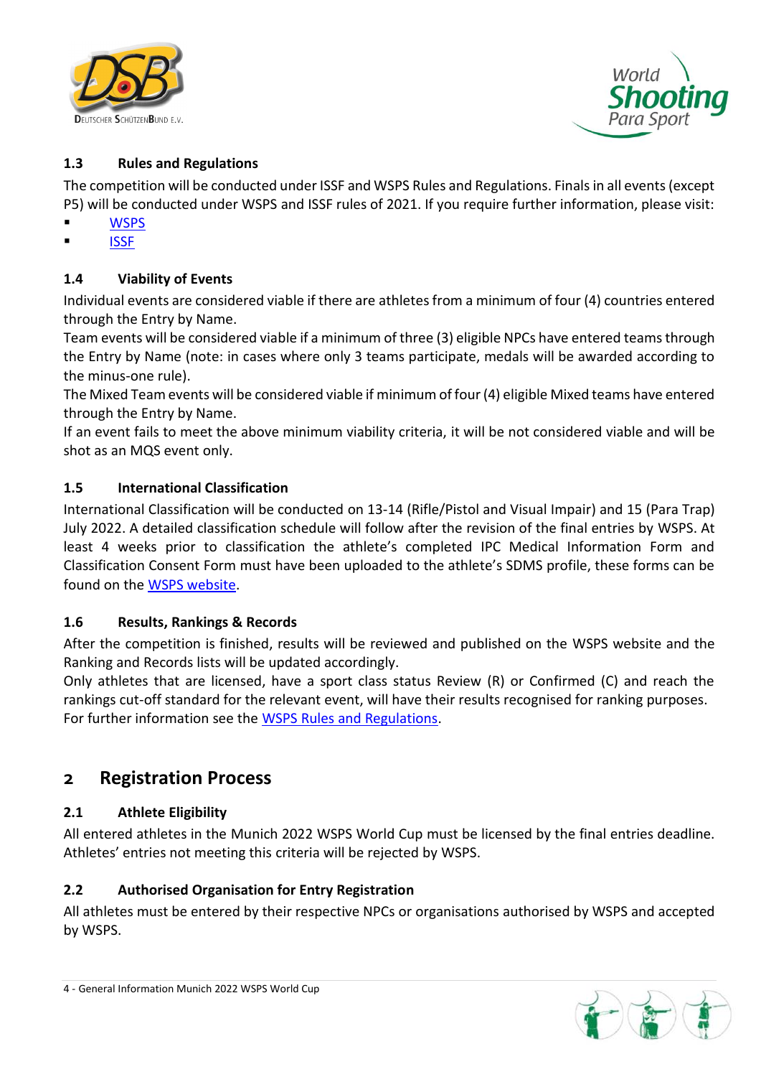



## <span id="page-4-0"></span>**1.3 Rules and Regulations**

The competition will be conducted under ISSF and WSPS Rules and Regulations. Finals in all events (except P5) will be conducted under WSPS and ISSF rules of 2021. If you require further information, please visit:

- **[WSPS](https://www.paralympic.org/shooting/rules-and-regulations/classification)**
- **[ISSF](http://www.issf-sports.org/theissf/rules.ashx)**

### <span id="page-4-1"></span>**1.4 Viability of Events**

Individual events are considered viable if there are athletes from a minimum of four (4) countries entered through the Entry by Name.

Team events will be considered viable if a minimum of three (3) eligible NPCs have entered teams through the Entry by Name (note: in cases where only 3 teams participate, medals will be awarded according to the minus-one rule).

The Mixed Team events will be considered viable if minimum of four (4) eligible Mixed teams have entered through the Entry by Name.

If an event fails to meet the above minimum viability criteria, it will be not considered viable and will be shot as an MQS event only.

#### <span id="page-4-2"></span>**1.5 International Classification**

International Classification will be conducted on 13-14 (Rifle/Pistol and Visual Impair) and 15 (Para Trap) July 2022. A detailed classification schedule will follow after the revision of the final entries by WSPS. At least 4 weeks prior to classification the athlete's completed IPC Medical Information Form and Classification Consent Form must have been uploaded to the athlete's SDMS profile, these forms can be found on the [WSPS website.](https://www.paralympic.org/shooting/teams/downloads)

#### <span id="page-4-3"></span>**1.6 Results, Rankings & Records**

After the competition is finished, results will be reviewed and published on the WSPS website and the Ranking and Records lists will be updated accordingly.

Only athletes that are licensed, have a sport class status Review (R) or Confirmed (C) and reach the rankings cut-off standard for the relevant event, will have their results recognised for ranking purposes. For further information see the [WSPS Rules and Regulations.](https://www.paralympic.org/sites/default/files/document/190228090519483_World+Shooting+Para+Sport+Technical+Rules+-+Regulations_2019.pdf)

## <span id="page-4-4"></span>**2 Registration Process**

#### <span id="page-4-5"></span>**2.1 Athlete Eligibility**

All entered athletes in the Munich 2022 WSPS World Cup must be licensed by the final entries deadline. Athletes' entries not meeting this criteria will be rejected by WSPS.

#### <span id="page-4-6"></span>**2.2 Authorised Organisation for Entry Registration**

All athletes must be entered by their respective NPCs or organisations authorised by WSPS and accepted by WSPS.

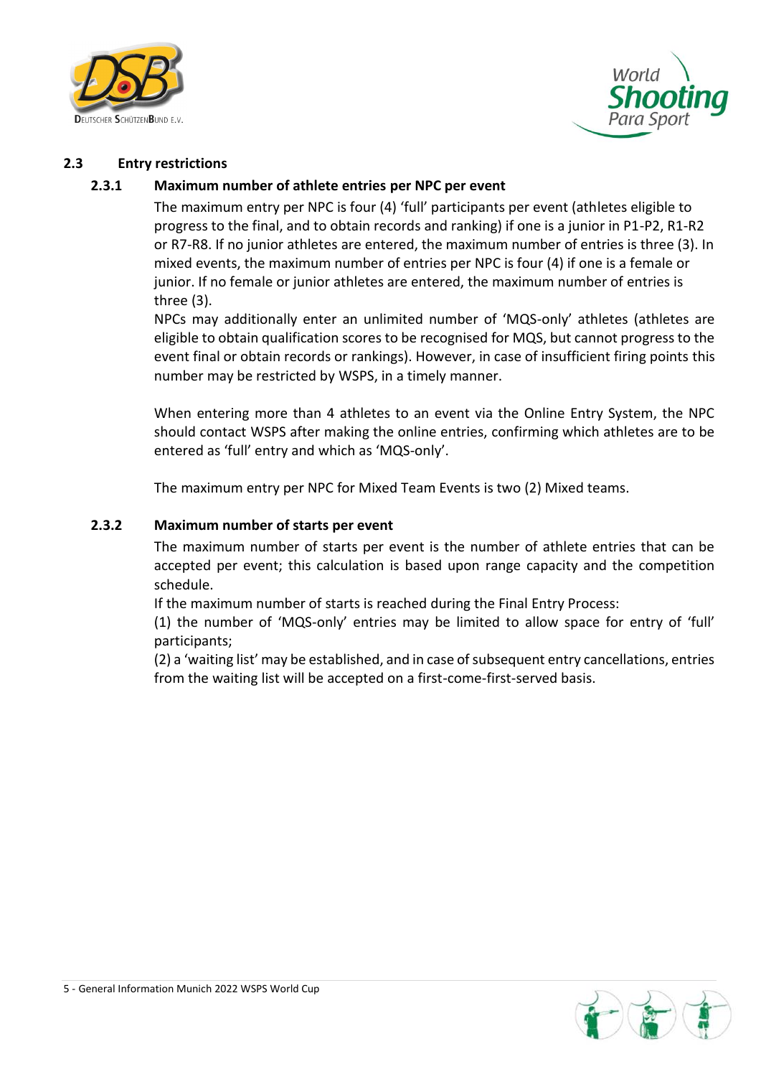



#### <span id="page-5-0"></span>**2.3 Entry restrictions**

#### **2.3.1 Maximum number of athlete entries per NPC per event**

The maximum entry per NPC is four (4) 'full' participants per event (athletes eligible to progress to the final, and to obtain records and ranking) if one is a junior in P1-P2, R1-R2 or R7-R8. If no junior athletes are entered, the maximum number of entries is three (3). In mixed events, the maximum number of entries per NPC is four (4) if one is a female or junior. If no female or junior athletes are entered, the maximum number of entries is three (3).

NPCs may additionally enter an unlimited number of 'MQS-only' athletes (athletes are eligible to obtain qualification scores to be recognised for MQS, but cannot progress to the event final or obtain records or rankings). However, in case of insufficient firing points this number may be restricted by WSPS, in a timely manner.

When entering more than 4 athletes to an event via the Online Entry System, the NPC should contact WSPS after making the online entries, confirming which athletes are to be entered as 'full' entry and which as 'MQS-only'.

The maximum entry per NPC for Mixed Team Events is two (2) Mixed teams.

#### **2.3.2 Maximum number of starts per event**

The maximum number of starts per event is the number of athlete entries that can be accepted per event; this calculation is based upon range capacity and the competition schedule.

If the maximum number of starts is reached during the Final Entry Process:

(1) the number of 'MQS-only' entries may be limited to allow space for entry of 'full' participants;

(2) a 'waiting list' may be established, and in case of subsequent entry cancellations, entries from the waiting list will be accepted on a first-come-first-served basis.

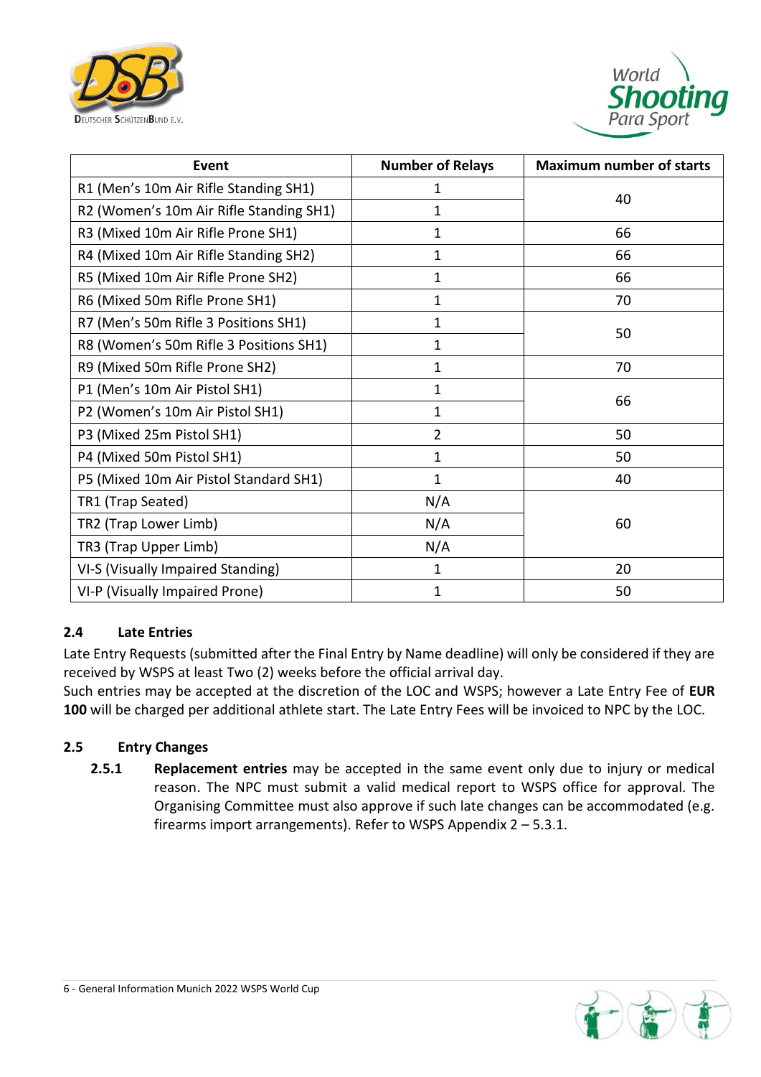



| Event                                   | <b>Number of Relays</b> | <b>Maximum number of starts</b> |  |
|-----------------------------------------|-------------------------|---------------------------------|--|
| R1 (Men's 10m Air Rifle Standing SH1)   | 1                       | 40                              |  |
| R2 (Women's 10m Air Rifle Standing SH1) | 1                       |                                 |  |
| R3 (Mixed 10m Air Rifle Prone SH1)      | 1                       | 66                              |  |
| R4 (Mixed 10m Air Rifle Standing SH2)   | 1                       | 66                              |  |
| R5 (Mixed 10m Air Rifle Prone SH2)      | 1                       | 66                              |  |
| R6 (Mixed 50m Rifle Prone SH1)          | 1                       | 70                              |  |
| R7 (Men's 50m Rifle 3 Positions SH1)    | 1                       |                                 |  |
| R8 (Women's 50m Rifle 3 Positions SH1)  | 1                       | 50                              |  |
| R9 (Mixed 50m Rifle Prone SH2)          | 1                       | 70                              |  |
| P1 (Men's 10m Air Pistol SH1)           | 1                       |                                 |  |
| P2 (Women's 10m Air Pistol SH1)         | 1                       | 66                              |  |
| P3 (Mixed 25m Pistol SH1)               | $\overline{2}$          | 50                              |  |
| P4 (Mixed 50m Pistol SH1)               | 1                       | 50                              |  |
| P5 (Mixed 10m Air Pistol Standard SH1)  | 1                       | 40                              |  |
| TR1 (Trap Seated)                       | N/A                     |                                 |  |
| TR2 (Trap Lower Limb)                   | N/A                     | 60                              |  |
| TR3 (Trap Upper Limb)                   | N/A                     |                                 |  |
| VI-S (Visually Impaired Standing)       | 1                       | 20                              |  |
| VI-P (Visually Impaired Prone)          | 1                       | 50                              |  |

#### <span id="page-6-0"></span>**2.4 Late Entries**

Late Entry Requests (submitted after the Final Entry by Name deadline) will only be considered if they are received by WSPS at least Two (2) weeks before the official arrival day.

Such entries may be accepted at the discretion of the LOC and WSPS; however a Late Entry Fee of **EUR 100** will be charged per additional athlete start. The Late Entry Fees will be invoiced to NPC by the LOC.

#### <span id="page-6-1"></span>**2.5 Entry Changes**

**2.5.1 Replacement entries** may be accepted in the same event only due to injury or medical reason. The NPC must submit a valid medical report to WSPS office for approval. The Organising Committee must also approve if such late changes can be accommodated (e.g. firearms import arrangements). Refer to WSPS Appendix 2 – 5.3.1.

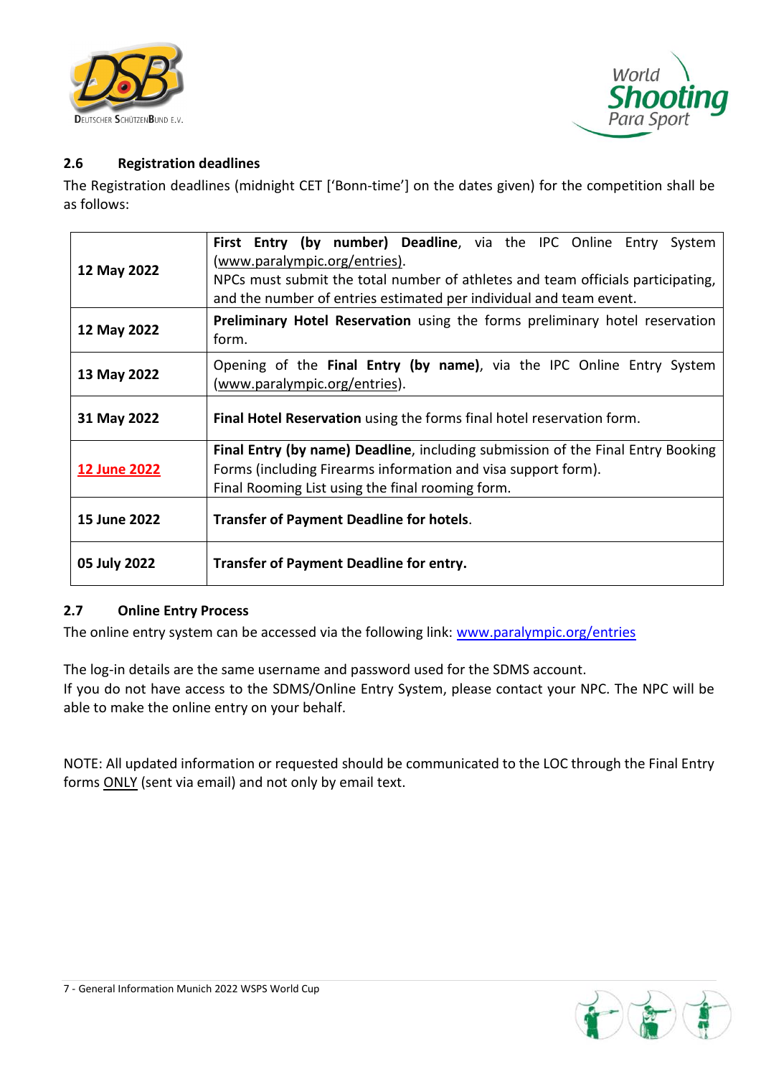



### <span id="page-7-0"></span>**2.6 Registration deadlines**

The Registration deadlines (midnight CET ['Bonn-time'] on the dates given) for the competition shall be as follows:

| 12 May 2022         | First Entry (by number) Deadline, via the IPC Online Entry System<br><u>(www.paralympic.org/entries)</u> .<br>NPCs must submit the total number of athletes and team officials participating,<br>and the number of entries estimated per individual and team event. |  |  |  |  |
|---------------------|---------------------------------------------------------------------------------------------------------------------------------------------------------------------------------------------------------------------------------------------------------------------|--|--|--|--|
| 12 May 2022         | Preliminary Hotel Reservation using the forms preliminary hotel reservation<br>form.                                                                                                                                                                                |  |  |  |  |
| 13 May 2022         | Opening of the Final Entry (by name), via the IPC Online Entry System<br>(www.paralympic.org/entries).                                                                                                                                                              |  |  |  |  |
| 31 May 2022         | Final Hotel Reservation using the forms final hotel reservation form.                                                                                                                                                                                               |  |  |  |  |
| <b>12 June 2022</b> | <b>Final Entry (by name) Deadline, including submission of the Final Entry Booking</b><br>Forms (including Firearms information and visa support form).<br>Final Rooming List using the final rooming form.                                                         |  |  |  |  |
| 15 June 2022        | <b>Transfer of Payment Deadline for hotels.</b>                                                                                                                                                                                                                     |  |  |  |  |
| 05 July 2022        | <b>Transfer of Payment Deadline for entry.</b>                                                                                                                                                                                                                      |  |  |  |  |

#### <span id="page-7-1"></span>**2.7 Online Entry Process**

The online entry system can be accessed via the following link: [www.paralympic.org/entries](http://www.paralympic.org/entries)

The log-in details are the same username and password used for the SDMS account. If you do not have access to the SDMS/Online Entry System, please contact your NPC. The NPC will be able to make the online entry on your behalf.

NOTE: All updated information or requested should be communicated to the LOC through the Final Entry forms ONLY (sent via email) and not only by email text.

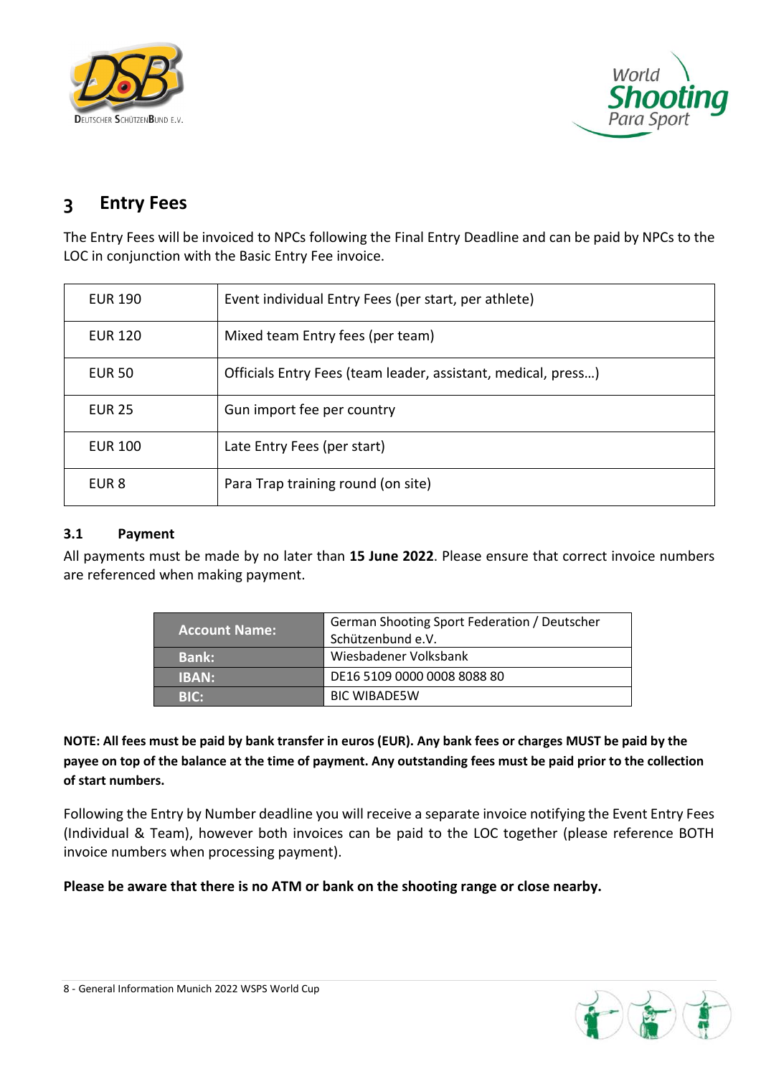



## <span id="page-8-0"></span>**3 Entry Fees**

The Entry Fees will be invoiced to NPCs following the Final Entry Deadline and can be paid by NPCs to the LOC in conjunction with the Basic Entry Fee invoice.

| <b>EUR 190</b> | Event individual Entry Fees (per start, per athlete)          |
|----------------|---------------------------------------------------------------|
| <b>EUR 120</b> | Mixed team Entry fees (per team)                              |
| <b>EUR 50</b>  | Officials Entry Fees (team leader, assistant, medical, press) |
| <b>EUR 25</b>  | Gun import fee per country                                    |
| <b>EUR 100</b> | Late Entry Fees (per start)                                   |
| EUR 8          | Para Trap training round (on site)                            |

### <span id="page-8-1"></span>**3.1 Payment**

All payments must be made by no later than **15 June 2022**. Please ensure that correct invoice numbers are referenced when making payment.

| <b>Account Name:</b> | German Shooting Sport Federation / Deutscher<br>Schützenbund e.V. |
|----------------------|-------------------------------------------------------------------|
| <b>Bank:</b>         | Wiesbadener Volksbank                                             |
| <b>IBAN:</b>         | DE16 5109 0000 0008 8088 80                                       |
| <b>BIC:</b>          | <b>BIC WIBADESW</b>                                               |

**NOTE: All fees must be paid by bank transfer in euros (EUR). Any bank fees or charges MUST be paid by the payee on top of the balance at the time of payment. Any outstanding fees must be paid prior to the collection of start numbers.**

Following the Entry by Number deadline you will receive a separate invoice notifying the Event Entry Fees (Individual & Team), however both invoices can be paid to the LOC together (please reference BOTH invoice numbers when processing payment).

**Please be aware that there is no ATM or bank on the shooting range or close nearby.** 

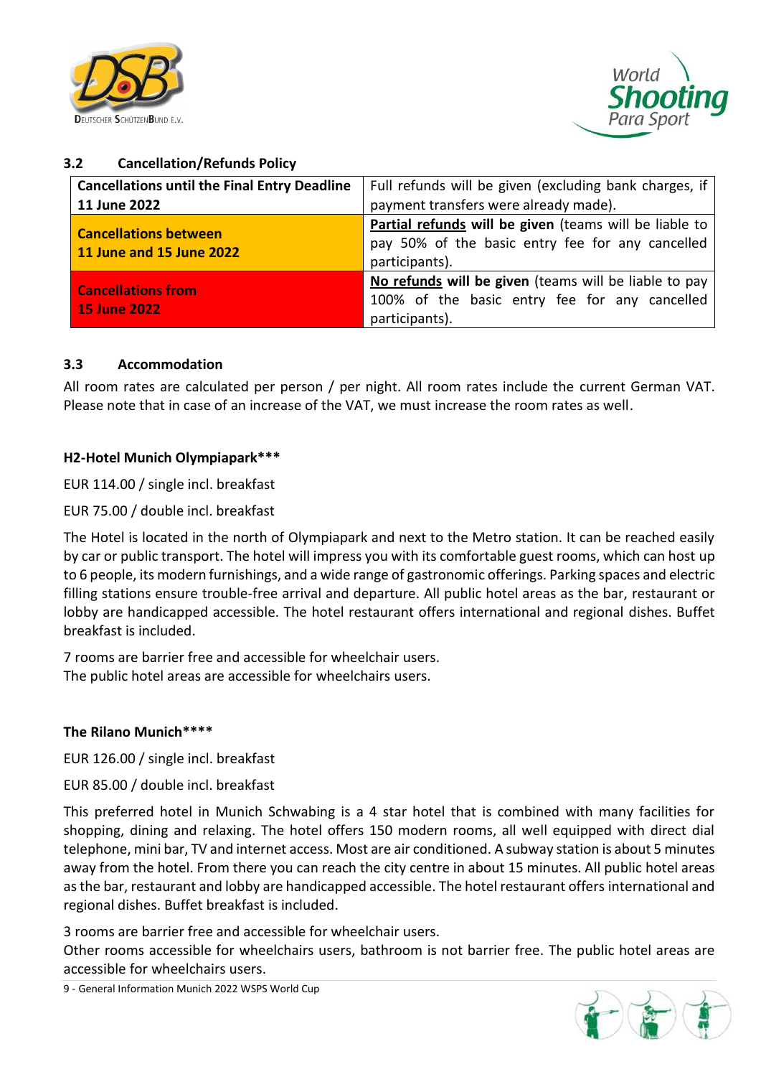



### <span id="page-9-0"></span>**3.2 Cancellation/Refunds Policy**

| <b>Cancellations until the Final Entry Deadline</b> | Full refunds will be given (excluding bank charges, if |  |  |  |
|-----------------------------------------------------|--------------------------------------------------------|--|--|--|
| 11 June 2022                                        | payment transfers were already made).                  |  |  |  |
| <b>Cancellations between</b>                        | Partial refunds will be given (teams will be liable to |  |  |  |
| 11 June and 15 June 2022                            | pay 50% of the basic entry fee for any cancelled       |  |  |  |
|                                                     | participants).                                         |  |  |  |
| <b>Cancellations from</b>                           | No refunds will be given (teams will be liable to pay  |  |  |  |
|                                                     | 100% of the basic entry fee for any cancelled          |  |  |  |
| <b>15 June 2022</b>                                 | participants).                                         |  |  |  |

### <span id="page-9-1"></span>**3.3 Accommodation**

All room rates are calculated per person / per night. All room rates include the current German VAT. Please note that in case of an increase of the VAT, we must increase the room rates as well.

#### **H2-Hotel Munich Olympiapark\*\*\***

EUR 114.00 / single incl. breakfast

EUR 75.00 / double incl. breakfast

The Hotel is located in the north of Olympiapark and next to the Metro station. It can be reached easily by car or public transport. The hotel will impress you with its comfortable guest rooms, which can host up to 6 people, its modern furnishings, and a wide range of gastronomic offerings. Parking spaces and electric filling stations ensure trouble-free arrival and departure. All public hotel areas as the bar, restaurant or lobby are handicapped accessible. The hotel restaurant offers international and regional dishes. Buffet breakfast is included.

7 rooms are barrier free and accessible for wheelchair users. The public hotel areas are accessible for wheelchairs users.

#### **The Rilano Munich\*\*\*\***

EUR 126.00 / single incl. breakfast

EUR 85.00 / double incl. breakfast

This preferred hotel in Munich Schwabing is a 4 star hotel that is combined with many facilities for shopping, dining and relaxing. The hotel offers 150 modern rooms, all well equipped with direct dial telephone, mini bar, TV and internet access. Most are air conditioned. A subway station is about 5 minutes away from the hotel. From there you can reach the city centre in about 15 minutes. All public hotel areas as the bar, restaurant and lobby are handicapped accessible. The hotel restaurant offers international and regional dishes. Buffet breakfast is included.

3 rooms are barrier free and accessible for wheelchair users.

Other rooms accessible for wheelchairs users, bathroom is not barrier free. The public hotel areas are accessible for wheelchairs users.

9 - General Information Munich 2022 WSPS World Cup

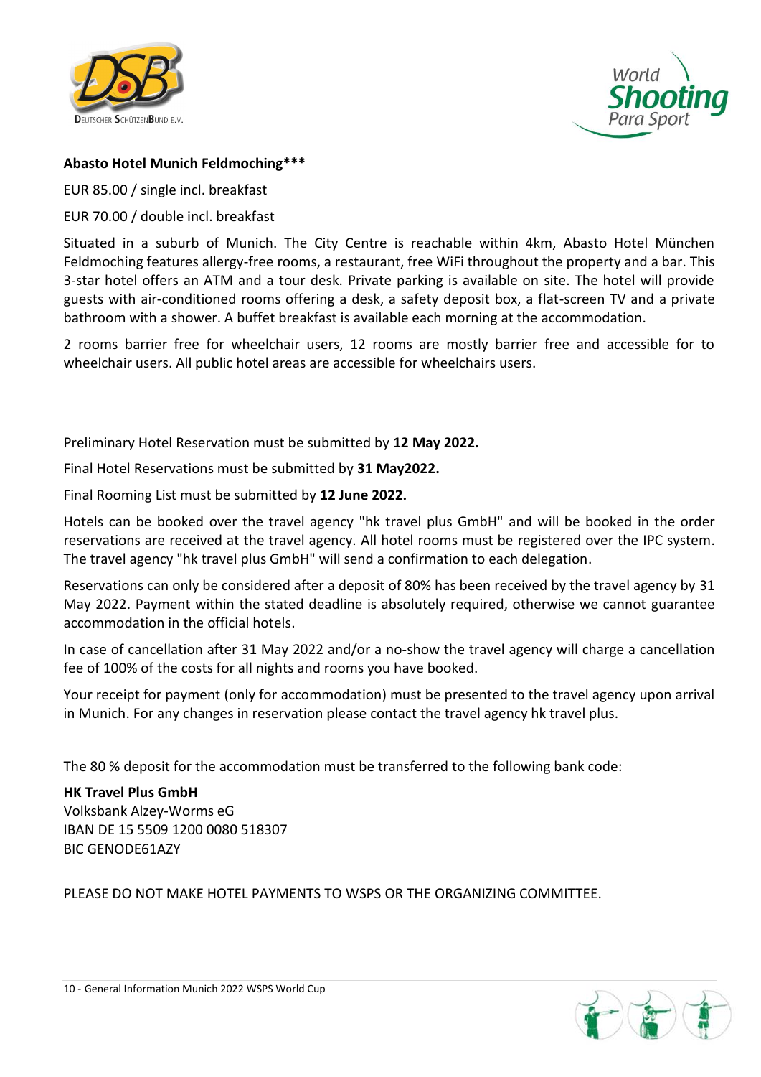



### **Abasto Hotel Munich Feldmoching\*\*\***

EUR 85.00 / single incl. breakfast

EUR 70.00 / double incl. breakfast

Situated in a suburb of Munich. The City Centre is reachable within 4km, Abasto Hotel München Feldmoching features allergy-free rooms, a restaurant, free WiFi throughout the property and a bar. This 3-star hotel offers an ATM and a tour desk. Private parking is available on site. The hotel will provide guests with air-conditioned rooms offering a desk, a safety deposit box, a flat-screen TV and a private bathroom with a shower. A buffet breakfast is available each morning at the accommodation.

2 rooms barrier free for wheelchair users, 12 rooms are mostly barrier free and accessible for to wheelchair users. All public hotel areas are accessible for wheelchairs users.

Preliminary Hotel Reservation must be submitted by **12 May 2022.**

Final Hotel Reservations must be submitted by **31 May2022.**

Final Rooming List must be submitted by **12 June 2022.**

Hotels can be booked over the travel agency "hk travel plus GmbH" and will be booked in the order reservations are received at the travel agency. All hotel rooms must be registered over the IPC system. The travel agency "hk travel plus GmbH" will send a confirmation to each delegation.

Reservations can only be considered after a deposit of 80% has been received by the travel agency by 31 May 2022. Payment within the stated deadline is absolutely required, otherwise we cannot guarantee accommodation in the official hotels.

In case of cancellation after 31 May 2022 and/or a no-show the travel agency will charge a cancellation fee of 100% of the costs for all nights and rooms you have booked.

Your receipt for payment (only for accommodation) must be presented to the travel agency upon arrival in Munich. For any changes in reservation please contact the travel agency hk travel plus.

The 80 % deposit for the accommodation must be transferred to the following bank code:

**HK Travel Plus GmbH**  Volksbank Alzey-Worms eG IBAN DE 15 5509 1200 0080 518307 BIC GENODE61AZY

PLEASE DO NOT MAKE HOTEL PAYMENTS TO WSPS OR THE ORGANIZING COMMITTEE.

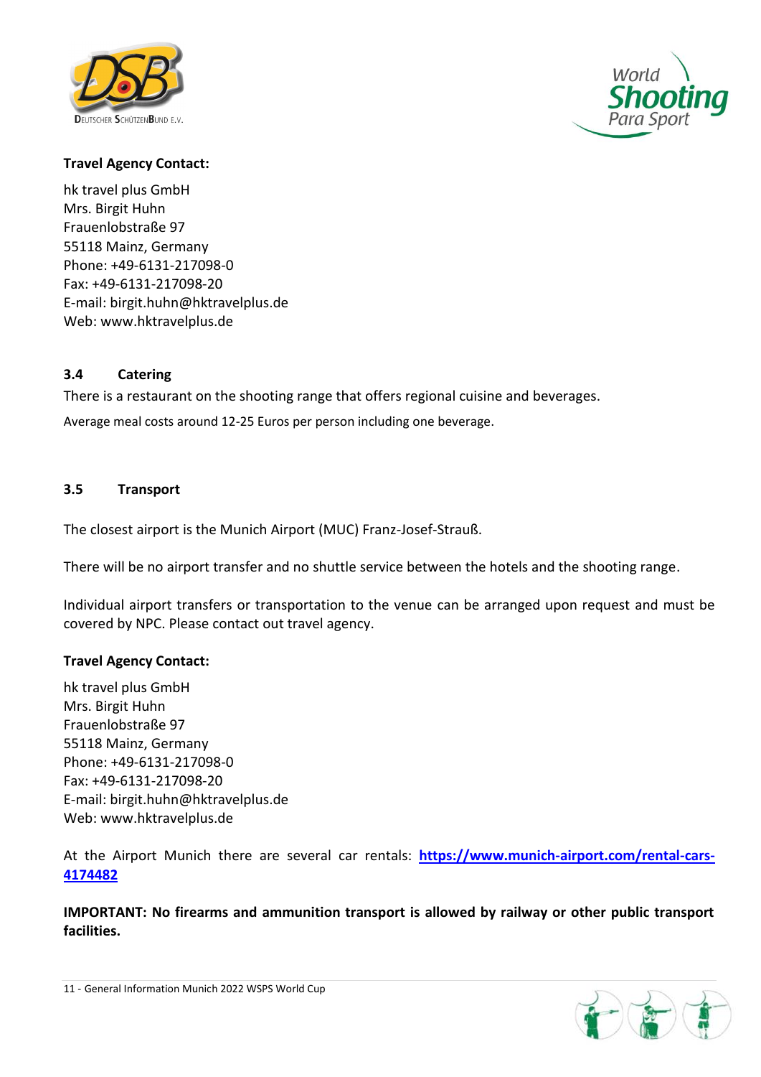



### **Travel Agency Contact:**

hk travel plus GmbH Mrs. Birgit Huhn Frauenlobstraße 97 55118 Mainz, Germany Phone: +49-6131-217098-0 Fax: +49-6131-217098-20 E-mail: [birgit.huhn@hktravelplus.de](mailto:birgit.huhn@hktravelplus.de)  Web: [www.hktravelplus.de](http://www.hktravelplus.de/)

#### <span id="page-11-0"></span>**3.4 Catering**

There is a restaurant on the shooting range that offers regional cuisine and beverages.

Average meal costs around 12-25 Euros per person including one beverage.

#### <span id="page-11-1"></span>**3.5 Transport**

The closest airport is the Munich Airport (MUC) Franz-Josef-Strauß.

There will be no airport transfer and no shuttle service between the hotels and the shooting range.

Individual airport transfers or transportation to the venue can be arranged upon request and must be covered by NPC. Please contact out travel agency.

#### **Travel Agency Contact:**

hk travel plus GmbH Mrs. Birgit Huhn Frauenlobstraße 97 55118 Mainz, Germany Phone: +49-6131-217098-0 Fax: +49-6131-217098-20 E-mail: [birgit.huhn@hktravelplus.de](mailto:birgit.huhn@hktravelplus.de)  Web: [www.hktravelplus.de](http://www.hktravelplus.de/)

At the Airport Munich there are several car rentals: **[https://www.munich-airport.com/rental-cars-](https://www.munich-airport.com/rental-cars-4174482)[4174482](https://www.munich-airport.com/rental-cars-4174482)**

**IMPORTANT: No firearms and ammunition transport is allowed by railway or other public transport facilities.**

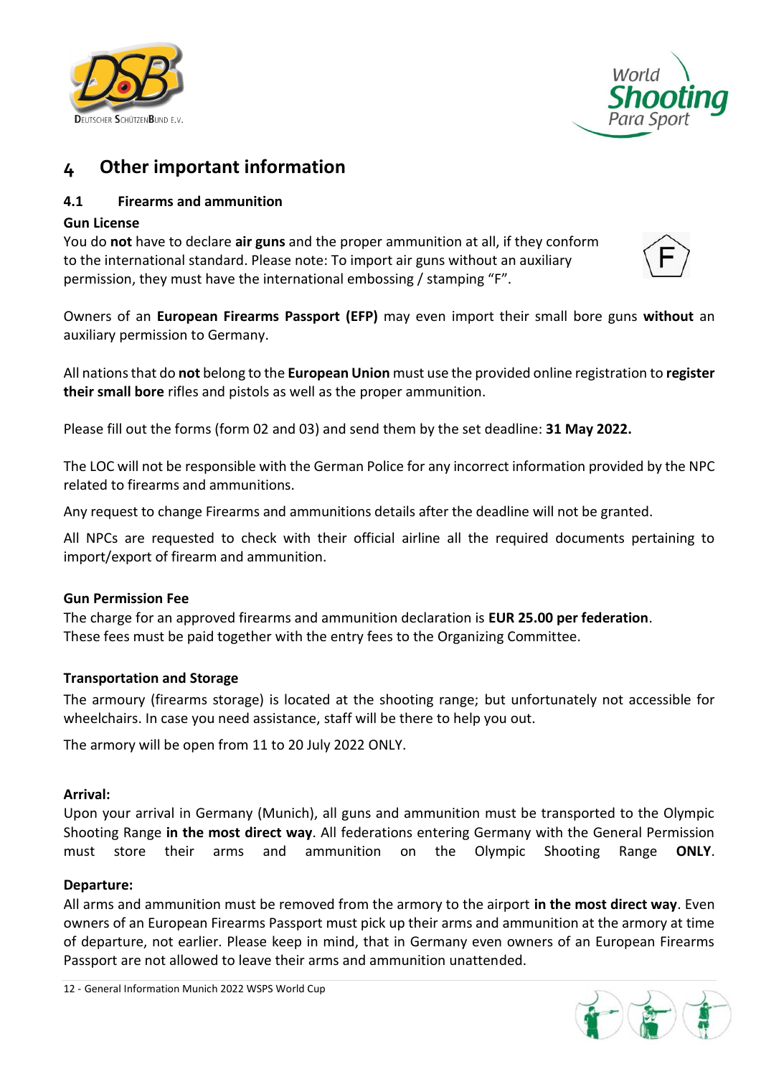



## <span id="page-12-0"></span>**4 Other important information**

### <span id="page-12-1"></span>**4.1 Firearms and ammunition**

### **Gun License**

You do **not** have to declare **air guns** and the proper ammunition at all, if they conform to the international standard. Please note: To import air guns without an auxiliary permission, they must have the international embossing / stamping "F".



Owners of an **European Firearms Passport (EFP)** may even import their small bore guns **without** an auxiliary permission to Germany.

All nations that do **not** belong to the **European Union** must use the provided online registration to **register their small bore** rifles and pistols as well as the proper ammunition.

Please fill out the forms (form 02 and 03) and send them by the set deadline: **31 May 2022.**

The LOC will not be responsible with the German Police for any incorrect information provided by the NPC related to firearms and ammunitions.

Any request to change Firearms and ammunitions details after the deadline will not be granted.

All NPCs are requested to check with their official airline all the required documents pertaining to import/export of firearm and ammunition.

#### **Gun Permission Fee**

The charge for an approved firearms and ammunition declaration is **EUR 25.00 per federation**. These fees must be paid together with the entry fees to the Organizing Committee.

#### **Transportation and Storage**

The armoury (firearms storage) is located at the shooting range; but unfortunately not accessible for wheelchairs. In case you need assistance, staff will be there to help you out.

The armory will be open from 11 to 20 July 2022 ONLY.

#### **Arrival:**

Upon your arrival in Germany (Munich), all guns and ammunition must be transported to the Olympic Shooting Range **in the most direct way**. All federations entering Germany with the General Permission must store their arms and ammunition on the Olympic Shooting Range **ONLY**.

#### **Departure:**

All arms and ammunition must be removed from the armory to the airport **in the most direct way**. Even owners of an European Firearms Passport must pick up their arms and ammunition at the armory at time of departure, not earlier. Please keep in mind, that in Germany even owners of an European Firearms Passport are not allowed to leave their arms and ammunition unattended.

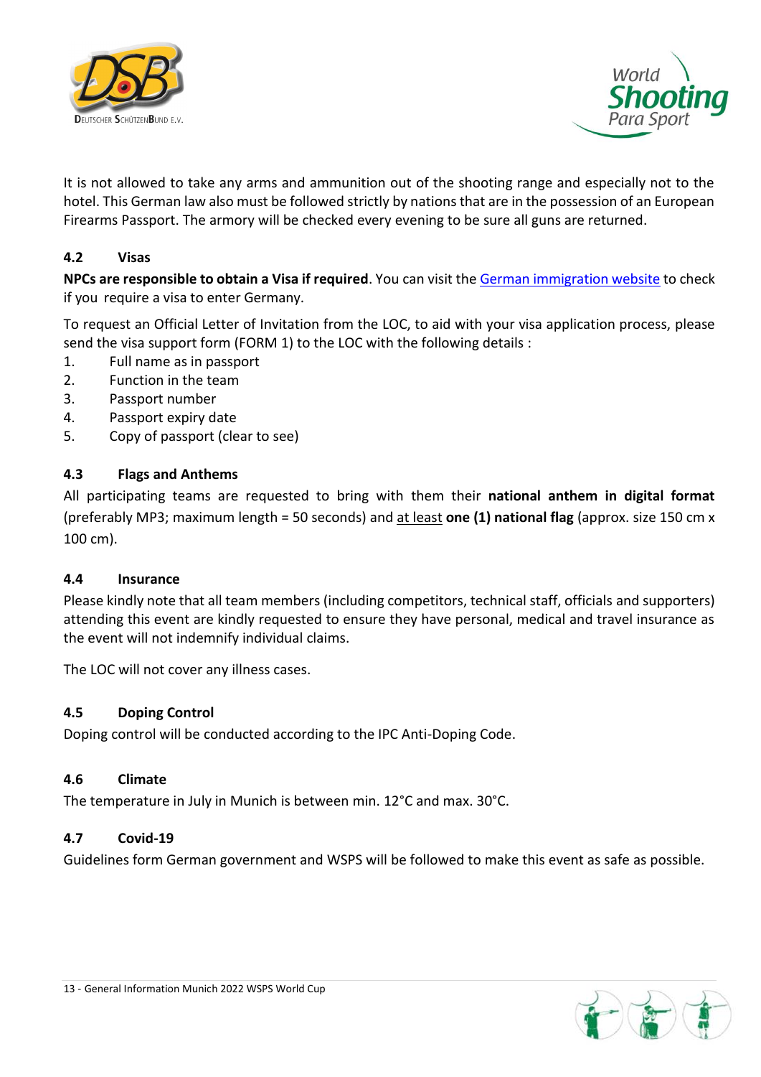



It is not allowed to take any arms and ammunition out of the shooting range and especially not to the hotel. This German law also must be followed strictly by nations that are in the possession of an European Firearms Passport. The armory will be checked every evening to be sure all guns are returned.

### <span id="page-13-0"></span>**4.2 Visas**

**NPCs are responsible to obtain a Visa if required**. You can visit the German [immigration](https://www.auswaertiges-amt.de/en/visa-service) website to check if you require a visa to enter Germany.

To request an Official Letter of Invitation from the LOC, to aid with your visa application process, please send the visa support form (FORM 1) to the LOC with the following details :

- 1. Full name as in passport
- 2. Function in the team
- 3. Passport number
- 4. Passport expiry date
- 5. Copy of passport (clear to see)

#### <span id="page-13-1"></span>**4.3 Flags and Anthems**

All participating teams are requested to bring with them their **national anthem in digital format** (preferably MP3; maximum length = 50 seconds) and at least **one (1) national flag** (approx. size 150 cm x 100 cm).

#### <span id="page-13-2"></span>**4.4 Insurance**

Please kindly note that all team members (including competitors, technical staff, officials and supporters) attending this event are kindly requested to ensure they have personal, medical and travel insurance as the event will not indemnify individual claims.

The LOC will not cover any illness cases.

#### <span id="page-13-3"></span>**4.5 Doping Control**

Doping control will be conducted according to the IPC Anti-Doping Code.

#### <span id="page-13-4"></span>**4.6 Climate**

The temperature in July in Munich is between min. 12°C and max. 30°C.

#### <span id="page-13-5"></span>**4.7 Covid-19**

Guidelines form German government and WSPS will be followed to make this event as safe as possible.